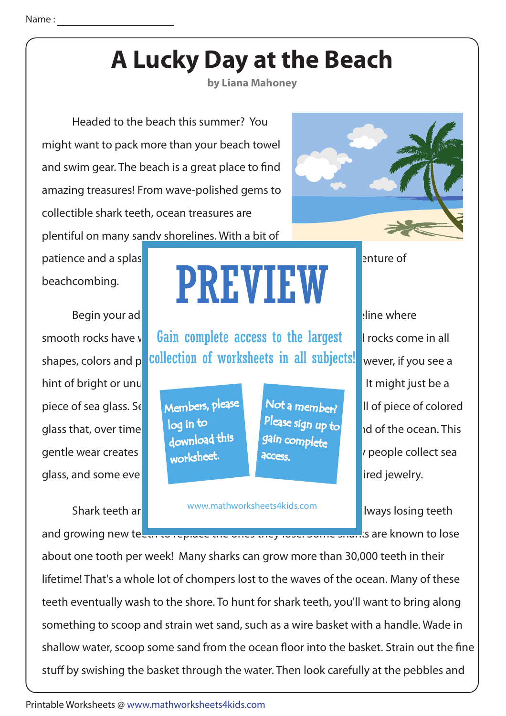## **A Lucky Day at the Beach**

**by Liana Mahoney**

 Headed to the beach this summer? You might want to pack more than your beach towel and swim gear. The beach is a great place to find amazing treasures! From wave-polished gems to collectible shark teeth, ocean treasures are plentiful on many sandy shorelines. With a bit of

patience and a splash of luck, you could enjoy the rewarding adventure of luck, you could enjoy the rewarding a

Begin your adventure by searching in a reas along the short short in along the short short short short in a short short short short short short short short short short short short short short short short short short short hint of bright or unusual colors and colors and colors and colors and colors and colors a close a close a close piece of sea glass. Se**t by Members, please in Not a member?** In of piece of colored glass that, over time  $\begin{bmatrix} \log{10} & \log{10} \\ \log{10} & \log{10} \end{bmatrix}$  is and smooth by the ocean. This gentle wear creates **and the surface of the surface of the surface of the surface of the glass of the glass of the glass of the glass of the glass of the glass of the glass of the glass of the glass of the glass of the gla** glass, and some even use it to create unique pieces of ocean-inspired jewelry.

## beachcombing. **PREVIEW**

smooth rocks have v**Gain complete access to the largest** Frocks come in all shapes, colors and patollection of worksheets in all subjects! wever, if you see a see a see to be a

> Members, please download this worksheet. log in to

Not a member? gain complete Please sign up to **access** 

Shark teeth and an anomy www.mathworksheets4kids.com **and investigate.** I lively losing teeth www.mathworksheets4kids.com

and growing new tecan to replace the ones they lose. Some sharks are known to lose.

about one tooth per week! Many sharks can grow more than 30,000 teeth in their lifetime! That's a whole lot of chompers lost to the waves of the ocean. Many of these teeth eventually wash to the shore. To hunt for shark teeth, you'll want to bring along something to scoop and strain wet sand, such as a wire basket with a handle. Wade in shallow water, scoop some sand from the ocean floor into the basket. Strain out the fine stuff by swishing the basket through the water. Then look carefully at the pebbles and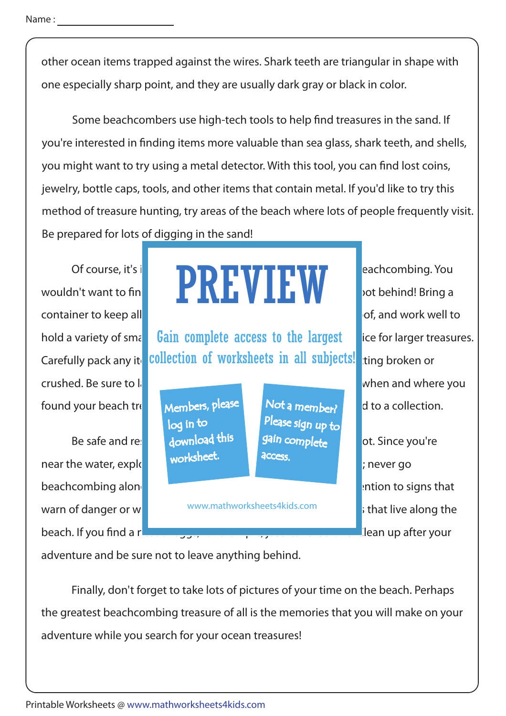other ocean items trapped against the wires. Shark teeth are triangular in shape with one especially sharp point, and they are usually dark gray or black in color.

Some beachcombers use high-tech tools to help find treasures in the sand. If you're interested in finding items more valuable than sea glass, shark teeth, and shells, you might want to try using a metal detector. With this tool, you can find lost coins, jewelry, bottle caps, tools, and other items that contain metal. If you'd like to try this method of treasure hunting, try areas of the beach where lots of people frequently visit. Be prepared for lots of digging in the sand!

container to keep all **of your lucky induced bagger**  $\alpha$  and work well to crushed. Be sure to label your containers when and where you found your beach treasure Members, please Not a member.

Be safe and responsible download this search of safe and responsible for beach lot. Since you're near the water, explored with a friend or family members; never go beachcombing alone. For the rules for the rules for the rules for the rules for the beach combined alone. beach. If you find a new state of example, it also determined the lean up after your

## Of course, it's interest **in portal to be prepared for a lucky day of course**, it's interest **in part of the prepared for a lucky day of a lucky day of a lucky day of the property of the property of the property of the pro** wouldn't want to find the sould treasure to find the souldn't want to find PREVIEW

hold a variety of small **Gain complete access to the largest** lice for larger treasures. Carefully pack any ite collection of worksheets in all subjects! ting broken or

> Members, please download this worksheet. log in to

Not a member? Please sign up to **access** 

warn of danger or wildlife. Be respectively with a state and plants warn of danger or w www.mathworksheets4kids.com

adventure and be sure not to leave anything behind.

 Finally, don't forget to take lots of pictures of your time on the beach. Perhaps the greatest beachcombing treasure of all is the memories that you will make on your adventure while you search for your ocean treasures!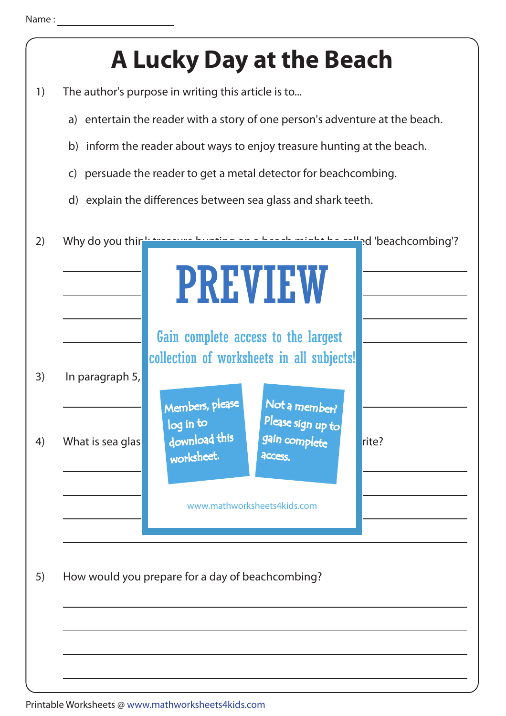